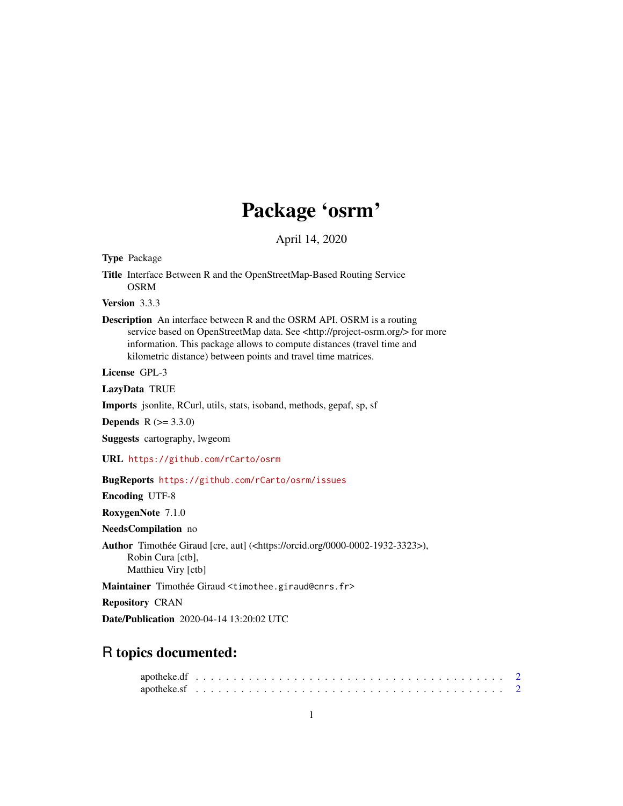## Package 'osrm'

April 14, 2020

Type Package

Title Interface Between R and the OpenStreetMap-Based Routing Service OSRM

Version 3.3.3

Description An interface between R and the OSRM API. OSRM is a routing service based on OpenStreetMap data. See <http://project-osrm.org/> for more information. This package allows to compute distances (travel time and kilometric distance) between points and travel time matrices.

License GPL-3

LazyData TRUE

Imports jsonlite, RCurl, utils, stats, isoband, methods, gepaf, sp, sf

**Depends**  $R (= 3.3.0)$ 

Suggests cartography, lwgeom

URL <https://github.com/rCarto/osrm>

#### BugReports <https://github.com/rCarto/osrm/issues>

Encoding UTF-8

RoxygenNote 7.1.0

NeedsCompilation no

Author Timothée Giraud [cre, aut] (<https://orcid.org/0000-0002-1932-3323>), Robin Cura [ctb], Matthieu Viry [ctb]

Maintainer Timothée Giraud <timothee.giraud@cnrs.fr>

Repository CRAN

Date/Publication 2020-04-14 13:20:02 UTC

### R topics documented: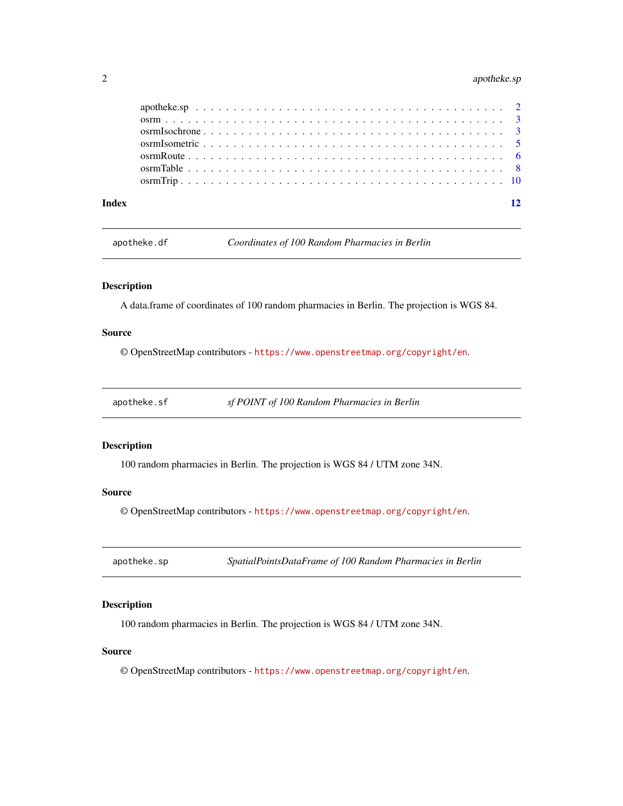#### <span id="page-1-0"></span>2 apotheke.sp

apotheke.df *Coordinates of 100 Random Pharmacies in Berlin*

#### Description

A data.frame of coordinates of 100 random pharmacies in Berlin. The projection is WGS 84.

#### Source

© OpenStreetMap contributors - <https://www.openstreetmap.org/copyright/en>.

apotheke.sf *sf POINT of 100 Random Pharmacies in Berlin*

#### Description

100 random pharmacies in Berlin. The projection is WGS 84 / UTM zone 34N.

#### Source

© OpenStreetMap contributors - <https://www.openstreetmap.org/copyright/en>.

apotheke.sp *SpatialPointsDataFrame of 100 Random Pharmacies in Berlin*

#### Description

100 random pharmacies in Berlin. The projection is WGS 84 / UTM zone 34N.

#### Source

© OpenStreetMap contributors - <https://www.openstreetmap.org/copyright/en>.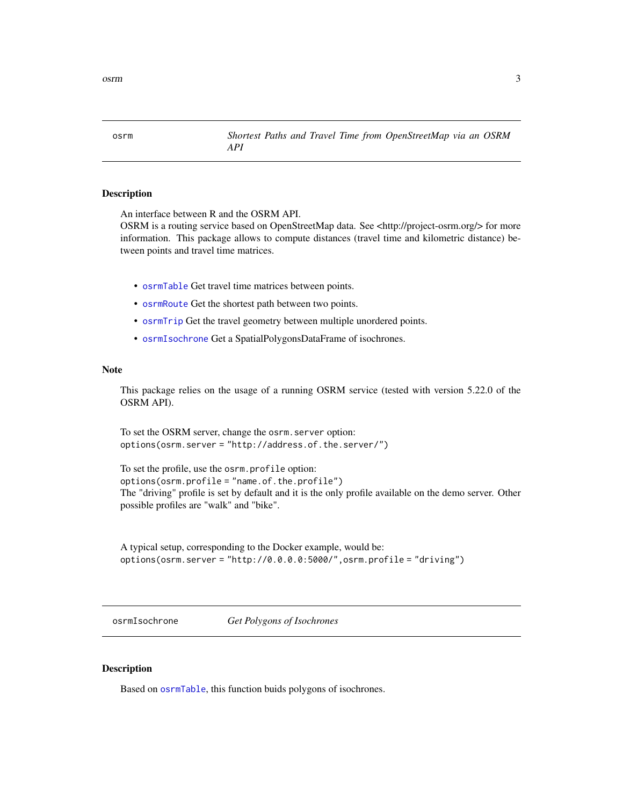<span id="page-2-0"></span>osrm *Shortest Paths and Travel Time from OpenStreetMap via an OSRM API*

#### **Description**

An interface between R and the OSRM API.

OSRM is a routing service based on OpenStreetMap data. See <http://project-osrm.org/> for more information. This package allows to compute distances (travel time and kilometric distance) between points and travel time matrices.

- [osrmTable](#page-7-1) Get travel time matrices between points.
- [osrmRoute](#page-5-1) Get the shortest path between two points.
- [osrmTrip](#page-9-1) Get the travel geometry between multiple unordered points.
- [osrmIsochrone](#page-2-1) Get a SpatialPolygonsDataFrame of isochrones.

#### Note

This package relies on the usage of a running OSRM service (tested with version 5.22.0 of the OSRM API).

To set the OSRM server, change the osrm.server option: options(osrm.server = "http://address.of.the.server/")

```
To set the profile, use the osrm.profile option:
options(osrm.profile = "name.of.the.profile")
The "driving" profile is set by default and it is the only profile available on the demo server. Other
possible profiles are "walk" and "bike".
```

```
A typical setup, corresponding to the Docker example, would be:
options(osrm.server = "http://0.0.0.0:5000/",osrm.profile = "driving")
```
<span id="page-2-1"></span>osrmIsochrone *Get Polygons of Isochrones*

#### Description

Based on [osrmTable](#page-7-1), this function buids polygons of isochrones.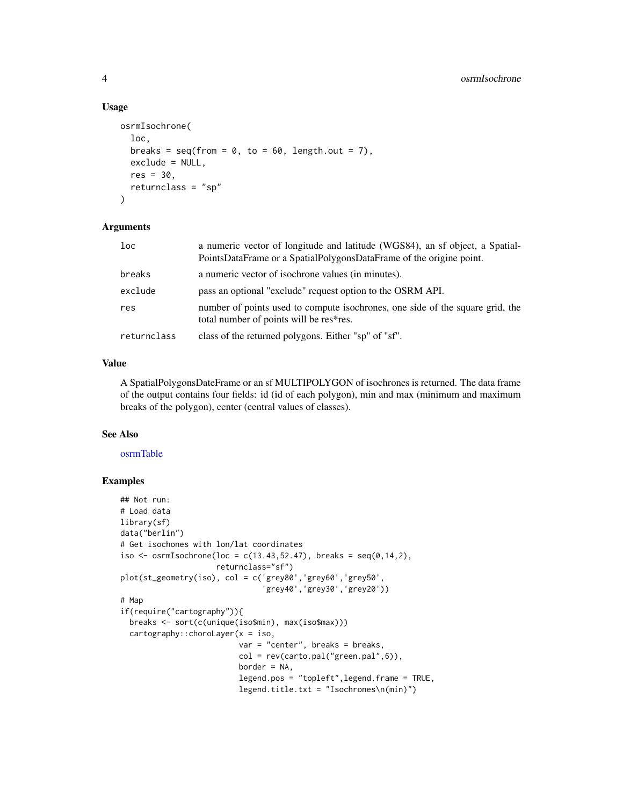#### Usage

```
osrmIsochrone(
  loc,
  breaks = seq(from = 0, to = 60, length.out = 7),
  exclude = NULL,
  res = 30.
  returnclass = "sp"
)
```
#### Arguments

| 1 <sub>oc</sub> | a numeric vector of longitude and latitude (WGS84), an sf object, a Spatial-<br>PointsDataFrame or a SpatialPolygonsDataFrame of the origine point. |
|-----------------|-----------------------------------------------------------------------------------------------------------------------------------------------------|
| breaks          | a numeric vector of isochrone values (in minutes).                                                                                                  |
| exclude         | pass an optional "exclude" request option to the OSRM API.                                                                                          |
| res             | number of points used to compute isochrones, one side of the square grid, the<br>total number of points will be res*res.                            |
| returnclass     | class of the returned polygons. Either "sp" of "sf".                                                                                                |

#### Value

A SpatialPolygonsDateFrame or an sf MULTIPOLYGON of isochrones is returned. The data frame of the output contains four fields: id (id of each polygon), min and max (minimum and maximum breaks of the polygon), center (central values of classes).

#### See Also

#### [osrmTable](#page-7-1)

#### Examples

```
## Not run:
# Load data
library(sf)
data("berlin")
# Get isochones with lon/lat coordinates
iso \leq osrmIsochrone(loc = c(13.43,52.47), breaks = seq(0,14,2),
                     returnclass="sf")
plot(st_geometry(iso), col = c('grey80','grey60','grey50',
                               'grey40','grey30','grey20'))
# Map
if(require("cartography")){
  breaks <- sort(c(unique(iso$min), max(iso$max)))
  cartography::chorolayer(x = iso,var = "center", breaks = breaks,
                          col = rev(carto.pal("green.pal", 6)),border = NA,
                          legend.pos = "topleft",legend.frame = TRUE,
                          legend.title.txt = "Isochrones\n(min)")
```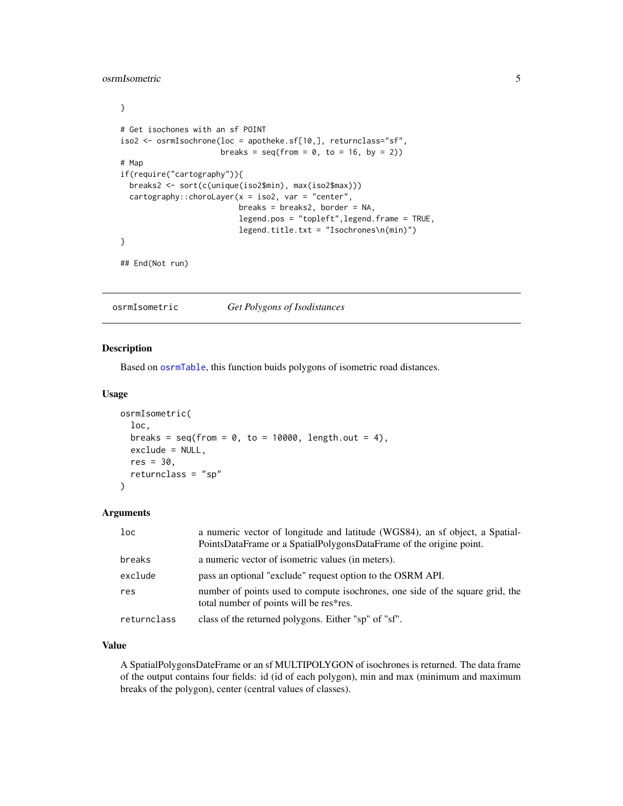#### <span id="page-4-0"></span>osrmIsometric 5

```
}
# Get isochones with an sf POINT
iso2 <- osrmIsochrone(loc = apotheke.sf[10,], returnclass="sf",
                     breaks = seq(from = 0, to = 16, by = 2)# Map
if(require("cartography")){
 breaks2 <- sort(c(unique(iso2$min), max(iso2$max)))
 cartography::chorolayer(x = iso2, var = "center",breaks = breaks2, border = NA,
                          legend.pos = "topleft",legend.frame = TRUE,
                          legend.title.txt = "Isochrones\n(min)")
}
## End(Not run)
```
osrmIsometric *Get Polygons of Isodistances*

#### Description

Based on [osrmTable](#page-7-1), this function buids polygons of isometric road distances.

#### Usage

```
osrmIsometric(
  loc,
  breaks = seq(from = 0, to = 10000, length.out = 4),
  exclude = NULL,
  res = 30.
  returnclass = "sp"
\lambda
```
#### Arguments

| loc         | a numeric vector of longitude and latitude (WGS84), an sf object, a Spatial-<br>PointsDataFrame or a SpatialPolygonsDataFrame of the origine point. |
|-------------|-----------------------------------------------------------------------------------------------------------------------------------------------------|
| breaks      | a numeric vector of isometric values (in meters).                                                                                                   |
| exclude     | pass an optional "exclude" request option to the OSRM API.                                                                                          |
| res         | number of points used to compute isochrones, one side of the square grid, the<br>total number of points will be res*res.                            |
| returnclass | class of the returned polygons. Either "sp" of "sf".                                                                                                |

#### Value

A SpatialPolygonsDateFrame or an sf MULTIPOLYGON of isochrones is returned. The data frame of the output contains four fields: id (id of each polygon), min and max (minimum and maximum breaks of the polygon), center (central values of classes).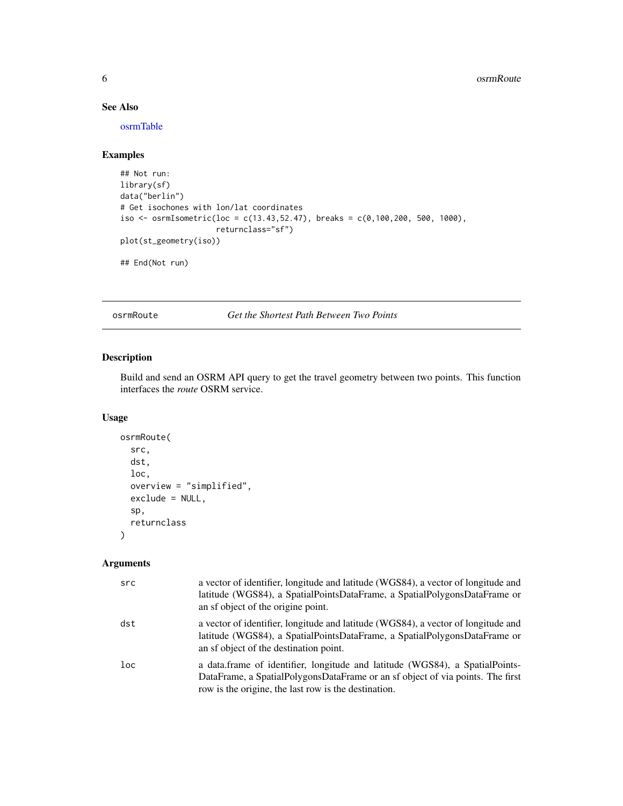#### See Also

[osrmTable](#page-7-1)

#### Examples

```
## Not run:
library(sf)
data("berlin")
# Get isochones with lon/lat coordinates
iso <- osrmIsometric(loc = c(13.43,52.47), breaks = c(0,100,200, 500, 1000),
                     returnclass="sf")
plot(st_geometry(iso))
## End(Not run)
```
<span id="page-5-1"></span>osrmRoute *Get the Shortest Path Between Two Points*

#### Description

Build and send an OSRM API query to get the travel geometry between two points. This function interfaces the *route* OSRM service.

#### Usage

```
osrmRoute(
  src,
  dst,
  loc,
  overview = "simplified",
  exclude = NULL,
  sp,
  returnclass
\mathcal{L}
```
#### Arguments

| src    | a vector of identifier, longitude and latitude (WGS84), a vector of longitude and<br>latitude (WGS84), a SpatialPointsDataFrame, a SpatialPolygonsDataFrame or<br>an sf object of the origine point.                   |
|--------|------------------------------------------------------------------------------------------------------------------------------------------------------------------------------------------------------------------------|
| dst    | a vector of identifier, longitude and latitude (WGS84), a vector of longitude and<br>latitude (WGS84), a SpatialPointsDataFrame, a SpatialPolygonsDataFrame or<br>an sf object of the destination point.               |
| $1$ oc | a data.frame of identifier, longitude and latitude (WGS84), a SpatialPoints-<br>DataFrame, a SpatialPolygonsDataFrame or an sf object of via points. The first<br>row is the origine, the last row is the destination. |

<span id="page-5-0"></span>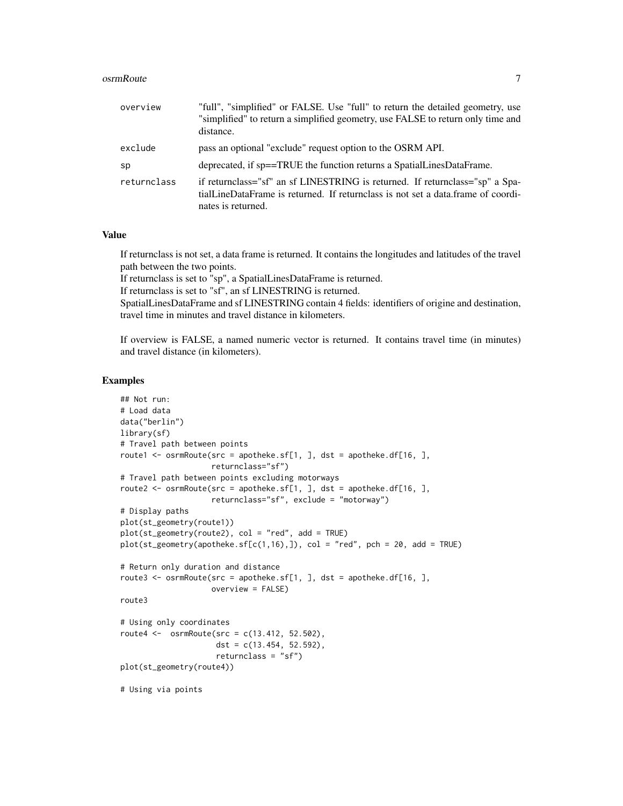#### osrmRoute 7 and 7 and 7 and 7 and 7 and 7 and 7 and 7 and 7 and 7 and 7 and 7 and 7 and 7 and 7 and 7 and 7 and 7 and 7 and 7 and 7 and 7 and 7 and 7 and 7 and 7 and 7 and 7 and 7 and 7 and 7 and 7 and 7 and 7 and 7 and 7

| overview    | "full", "simplified" or FALSE. Use "full" to return the detailed geometry, use<br>"simplified" to return a simplified geometry, use FALSE to return only time and<br>distance.          |
|-------------|-----------------------------------------------------------------------------------------------------------------------------------------------------------------------------------------|
| exclude     | pass an optional "exclude" request option to the OSRM API.                                                                                                                              |
| sp          | deprecated, if sp==TRUE the function returns a SpatialLinesDataFrame.                                                                                                                   |
| returnclass | if returnclass="sf" an sf LINESTRING is returned. If returnclass="sp" a Spa-<br>tialLineDataFrame is returned. If return class is not set a data.frame of coordi-<br>nates is returned. |

#### Value

If returnclass is not set, a data frame is returned. It contains the longitudes and latitudes of the travel path between the two points.

If returnclass is set to "sp", a SpatialLinesDataFrame is returned.

If returnclass is set to "sf", an sf LINESTRING is returned.

SpatialLinesDataFrame and sf LINESTRING contain 4 fields: identifiers of origine and destination, travel time in minutes and travel distance in kilometers.

If overview is FALSE, a named numeric vector is returned. It contains travel time (in minutes) and travel distance (in kilometers).

#### Examples

```
## Not run:
# Load data
data("berlin")
library(sf)
# Travel path between points
route1 <- osrmRoute(src = apotheke.sf[1, ], dst = apotheke.df[16, ],
                    returnclass="sf")
# Travel path between points excluding motorways
route2 \leq osrmRoute(src = apotheke.sf[1, ], dst = apotheke.df[16, ],
                    returnclass="sf", exclude = "motorway")
# Display paths
plot(st_geometry(route1))
plot(st_geometry(route2), col = "red", add = TRUE)
plot(st\_geometry(apotheke.sf[c(1,16),]), col = "red", pch = 20, add = TRUE)# Return only duration and distance
route3 <- osrmRoute(src = apotheke.sf[1, ], dst = apotheke.df[16, ],
                    overview = FALSE)
route3
# Using only coordinates
route4 <- osrmRoute(src = c(13.412, 52.502),
                     dst = c(13.454, 52.592),
                     returnclass = "sf")
plot(st_geometry(route4))
# Using via points
```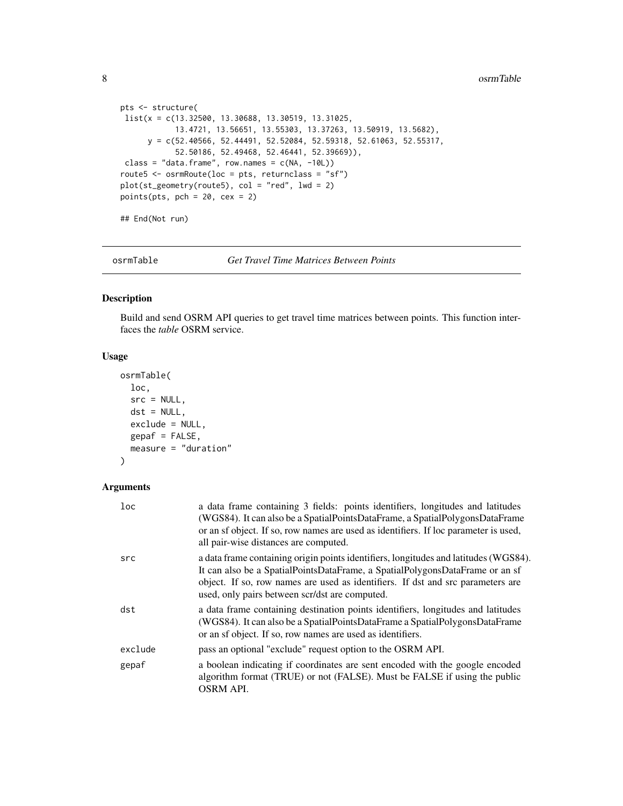```
pts <- structure(
list(x = c(13.32500, 13.30688, 13.30519, 13.31025,
            13.4721, 13.56651, 13.55303, 13.37263, 13.50919, 13.5682),
      y = c(52.40566, 52.44491, 52.52084, 52.59318, 52.61063, 52.55317,
            52.50186, 52.49468, 52.46441, 52.39669)),
 class = "data-frame", rownames = c(NA, -10L))route5 <- osrmRoute(loc = pts, returnclass = "sf")
plot(st\_geometry(root=5), col = "red", lwd = 2)points(pts, pch = 20, cex = 2)
## End(Not run)
```
<span id="page-7-1"></span>

osrmTable *Get Travel Time Matrices Between Points*

#### Description

Build and send OSRM API queries to get travel time matrices between points. This function interfaces the *table* OSRM service.

#### Usage

```
osrmTable(
  loc,
  src = NULL,dst = NULL,exclude = NULL,
  gepaf = FALSE,
 measure = "duration"
)
```
#### Arguments

| loc     | a data frame containing 3 fields: points identifiers, longitudes and latitudes<br>(WGS84). It can also be a SpatialPointsDataFrame, a SpatialPolygonsDataFrame<br>or an sf object. If so, row names are used as identifiers. If loc parameter is used,<br>all pair-wise distances are computed.           |
|---------|-----------------------------------------------------------------------------------------------------------------------------------------------------------------------------------------------------------------------------------------------------------------------------------------------------------|
| src     | a data frame containing origin points identifiers, longitudes and latitudes (WGS84).<br>It can also be a SpatialPointsDataFrame, a SpatialPolygonsDataFrame or an sf<br>object. If so, row names are used as identifiers. If dst and src parameters are<br>used, only pairs between scr/dst are computed. |
| dst     | a data frame containing destination points identifiers, longitudes and latitudes<br>(WGS84). It can also be a SpatialPointsDataFrame a SpatialPolygonsDataFrame<br>or an sf object. If so, row names are used as identifiers.                                                                             |
| exclude | pass an optional "exclude" request option to the OSRM API.                                                                                                                                                                                                                                                |
| gepaf   | a boolean indicating if coordinates are sent encoded with the google encoded<br>algorithm format (TRUE) or not (FALSE). Must be FALSE if using the public<br><b>OSRM API.</b>                                                                                                                             |

<span id="page-7-0"></span>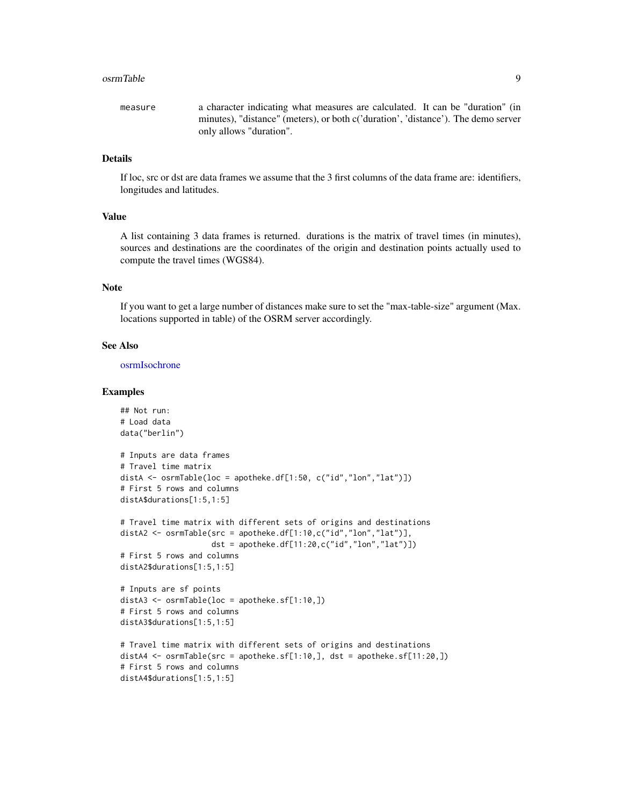#### <span id="page-8-0"></span>osrmTable 9

measure a character indicating what measures are calculated. It can be "duration" (in minutes), "distance" (meters), or both c('duration', 'distance'). The demo server only allows "duration".

#### Details

If loc, src or dst are data frames we assume that the 3 first columns of the data frame are: identifiers, longitudes and latitudes.

#### Value

A list containing 3 data frames is returned. durations is the matrix of travel times (in minutes), sources and destinations are the coordinates of the origin and destination points actually used to compute the travel times (WGS84).

#### Note

If you want to get a large number of distances make sure to set the "max-table-size" argument (Max. locations supported in table) of the OSRM server accordingly.

#### See Also

[osrmIsochrone](#page-2-1)

#### Examples

```
## Not run:
# Load data
data("berlin")
# Inputs are data frames
# Travel time matrix
distA <- osrmTable(loc = apotheke.df[1:50, c("id","lon","lat")])
# First 5 rows and columns
distA$durations[1:5,1:5]
# Travel time matrix with different sets of origins and destinations
distA2 <- osrmTable(src = apotheke.df[1:10,c("id","lon","lat")],
                    dst = apotheke.df[11:20,c("id","lon","lat")])
# First 5 rows and columns
distA2$durations[1:5,1:5]
# Inputs are sf points
distA3 <- osrmTable(loc = apotheke.sf[1:10,])
# First 5 rows and columns
distA3$durations[1:5,1:5]
# Travel time matrix with different sets of origins and destinations
distA4 <- osrmTable(src = apotheke.sf[1:10,], dst = apotheke.sf[11:20,])
# First 5 rows and columns
distA4$durations[1:5,1:5]
```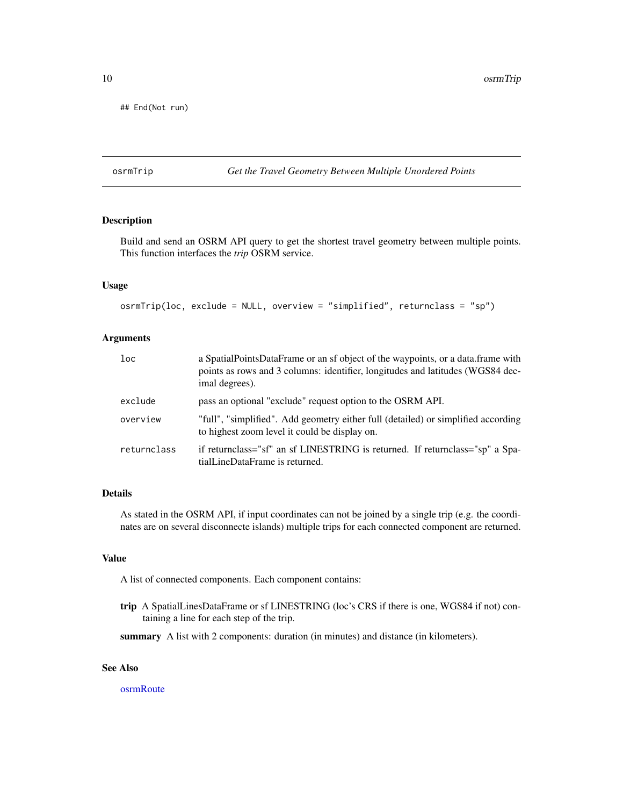<span id="page-9-0"></span>## End(Not run)

#### <span id="page-9-1"></span>osrmTrip *Get the Travel Geometry Between Multiple Unordered Points*

#### Description

Build and send an OSRM API query to get the shortest travel geometry between multiple points. This function interfaces the *trip* OSRM service.

#### Usage

osrmTrip(loc, exclude = NULL, overview = "simplified", returnclass = "sp")

#### Arguments

| $1$ oc      | a SpatialPointsDataFrame or an sf object of the waypoints, or a data.frame with<br>points as rows and 3 columns: identifier, longitudes and latitudes (WGS84 dec-<br>imal degrees). |
|-------------|-------------------------------------------------------------------------------------------------------------------------------------------------------------------------------------|
| exclude     | pass an optional "exclude" request option to the OSRM API.                                                                                                                          |
| overview    | "full", "simplified". Add geometry either full (detailed) or simplified according<br>to highest zoom level it could be display on.                                                  |
| returnclass | if returnclass="sf" an sf LINESTRING is returned. If returnclass="sp" a Spa-<br>tialLineDataFrame is returned.                                                                      |

#### Details

As stated in the OSRM API, if input coordinates can not be joined by a single trip (e.g. the coordinates are on several disconnecte islands) multiple trips for each connected component are returned.

#### Value

A list of connected components. Each component contains:

trip A SpatialLinesDataFrame or sf LINESTRING (loc's CRS if there is one, WGS84 if not) containing a line for each step of the trip.

summary A list with 2 components: duration (in minutes) and distance (in kilometers).

#### See Also

[osrmRoute](#page-5-1)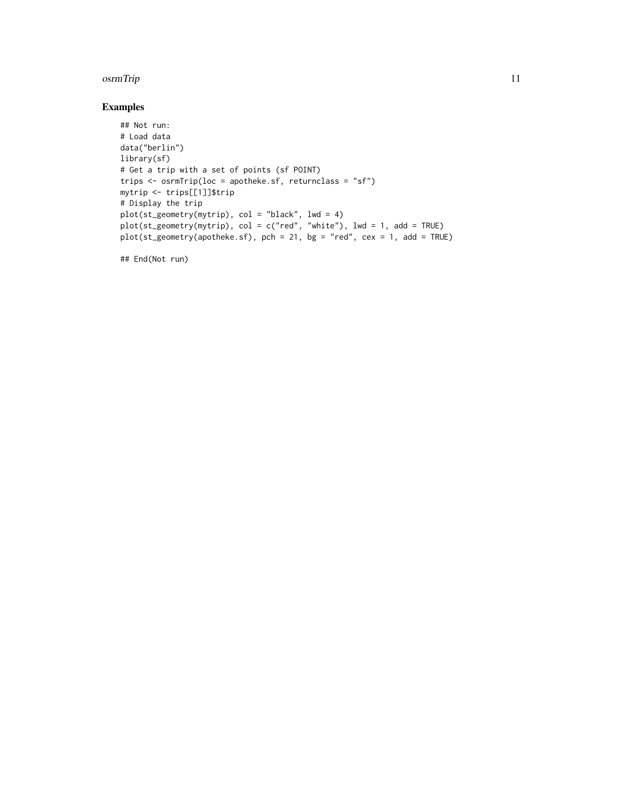#### osrmTrip 2012 and 2012 and 2012 and 2012 and 2012 and 2012 and 2012 and 2012 and 2012 and 2012 and 2012 and 20

#### Examples

```
## Not run:
# Load data
data("berlin")
library(sf)
# Get a trip with a set of points (sf POINT)
trips <- osrmTrip(loc = apotheke.sf, returnclass = "sf")
mytrip <- trips[[1]]$trip
# Display the trip
plot(st_geometry(mytrip), col = "black", lwd = 4)
plot(st_geometry(mytrip), col = c("red", "white"), lwd = 1, add = TRUE)
plot(st_geometry(apotheke.sf), pch = 21, bg = "red", cex = 1, add = TRUE)
```
## End(Not run)